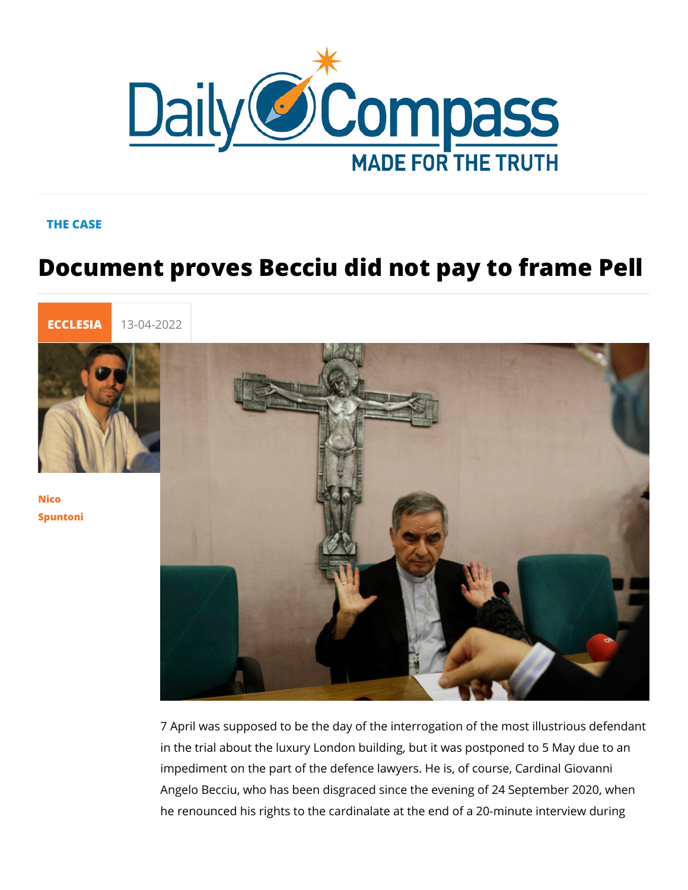## THE CASE

# Document proves Becciu did not pay to



[Nico](/en/nico-spuntoni-1) [Spunto](/en/nico-spuntoni-1)ni

> 7 April was supposed to be the day of the interrogation of the in the trial about the luxury London building, but it was postpo impediment on the part of the defence lawyers. He is, of cours Angelo Becciu, who has been disgraced since the evening of 2 he renounced his rights to the cardinalate at the end of a 20-r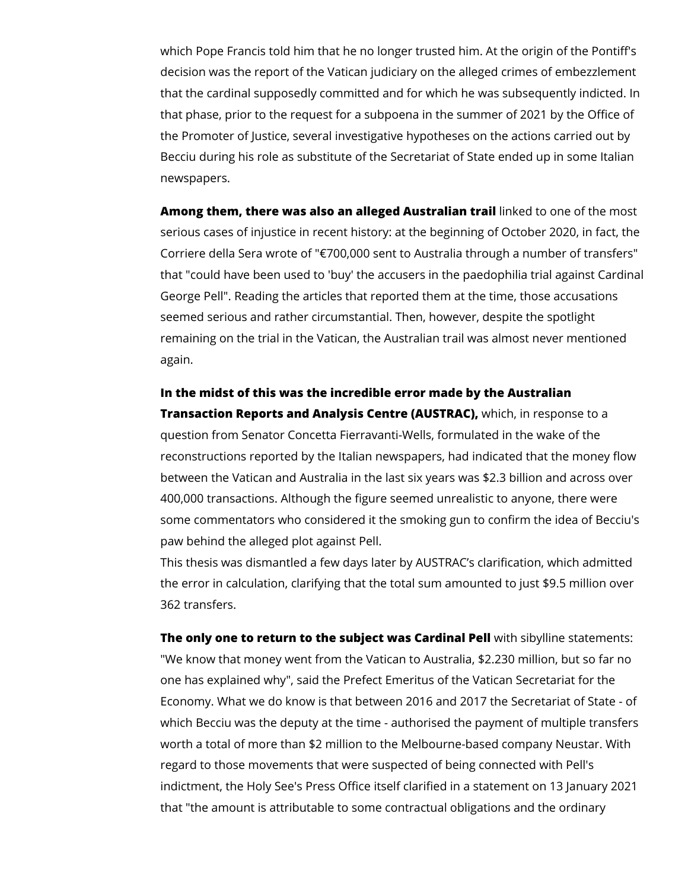which Pope Francis told him that he no longer trusted him. At the origin of the Pontiff's decision was the report of the Vatican judiciary on the alleged crimes of embezzlement that the cardinal supposedly committed and for which he was subsequently indicted. In that phase, prior to the request for a subpoena in the summer of 2021 by the Office of the Promoter of Justice, several investigative hypotheses on the actions carried out by Becciu during his role as substitute of the Secretariat of State ended up in some Italian newspapers.

**Among them, there was also an alleged Australian trail** linked to one of the most serious cases of injustice in recent history: at the beginning of October 2020, in fact, the Corriere della Sera wrote of "€700,000 sent to Australia through a number of transfers" that "could have been used to 'buy' the accusers in the paedophilia trial against Cardinal George Pell". Reading the articles that reported them at the time, those accusations seemed serious and rather circumstantial. Then, however, despite the spotlight remaining on the trial in the Vatican, the Australian trail was almost never mentioned again.

### **In the midst of this was the incredible error made by the Australian**

**Transaction Reports and Analysis Centre (AUSTRAC),** which, in response to a question from Senator Concetta Fierravanti-Wells, formulated in the wake of the reconstructions reported by the Italian newspapers, had indicated that the money flow between the Vatican and Australia in the last six years was \$2.3 billion and across over 400,000 transactions. Although the figure seemed unrealistic to anyone, there were some commentators who considered it the smoking gun to confirm the idea of Becciu's paw behind the alleged plot against Pell.

This thesis was dismantled a few days later by AUSTRAC's clarification, which admitted the error in calculation, clarifying that the total sum amounted to just \$9.5 million over 362 transfers.

**The only one to return to the subject was Cardinal Pell** with sibylline statements: "We know that money went from the Vatican to Australia, \$2.230 million, but so far no one has explained why", said the Prefect Emeritus of the Vatican Secretariat for the Economy. What we do know is that between 2016 and 2017 the Secretariat of State - of which Becciu was the deputy at the time - authorised the payment of multiple transfers worth a total of more than \$2 million to the Melbourne-based company Neustar. With regard to those movements that were suspected of being connected with Pell's indictment, the Holy See's Press Office itself clarified in a statement on 13 January 2021 that "the amount is attributable to some contractual obligations and the ordinary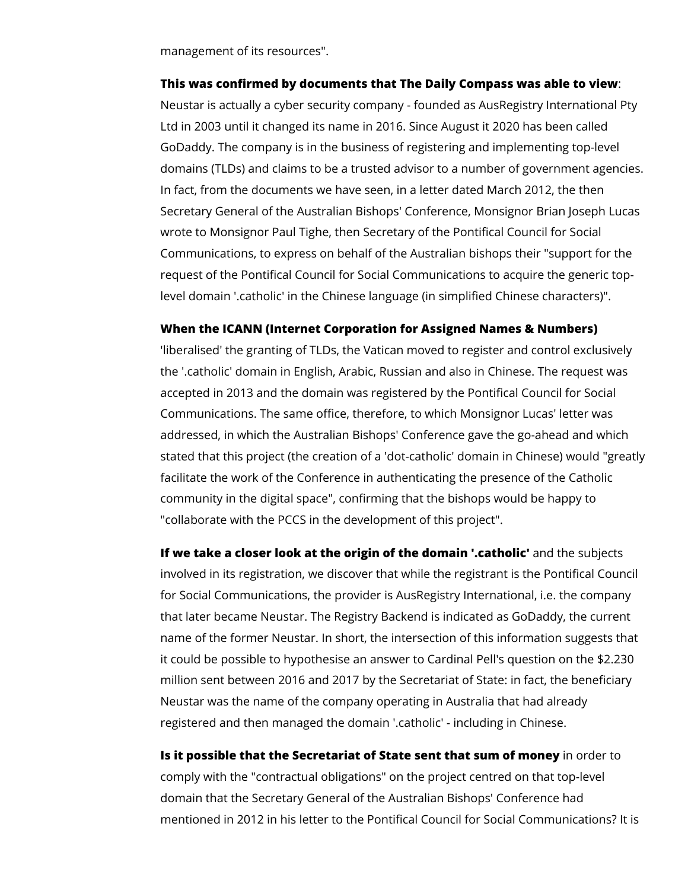management of its resources".

#### **This was confirmed by documents that The Daily Compass was able to view**:

Neustar is actually a cyber security company - founded as AusRegistry International Pty Ltd in 2003 until it changed its name in 2016. Since August it 2020 has been called GoDaddy. The company is in the business of registering and implementing top-level domains (TLDs) and claims to be a trusted advisor to a number of government agencies. In fact, from the documents we have seen, in a letter dated March 2012, the then Secretary General of the Australian Bishops' Conference, Monsignor Brian Joseph Lucas wrote to Monsignor Paul Tighe, then Secretary of the Pontifical Council for Social Communications, to express on behalf of the Australian bishops their "support for the request of the Pontifical Council for Social Communications to acquire the generic toplevel domain '.catholic' in the Chinese language (in simplified Chinese characters)".

#### **When the ICANN (Internet Corporation for Assigned Names & Numbers)**

'liberalised' the granting of TLDs, the Vatican moved to register and control exclusively the '.catholic' domain in English, Arabic, Russian and also in Chinese. The request was accepted in 2013 and the domain was registered by the Pontifical Council for Social Communications. The same office, therefore, to which Monsignor Lucas' letter was addressed, in which the Australian Bishops' Conference gave the go-ahead and which stated that this project (the creation of a 'dot-catholic' domain in Chinese) would "greatly facilitate the work of the Conference in authenticating the presence of the Catholic community in the digital space", confirming that the bishops would be happy to "collaborate with the PCCS in the development of this project".

**If we take a closer look at the origin of the domain '.catholic'** and the subjects involved in its registration, we discover that while the registrant is the Pontifical Council for Social Communications, the provider is AusRegistry International, i.e. the company that later became Neustar. The Registry Backend is indicated as GoDaddy, the current name of the former Neustar. In short, the intersection of this information suggests that it could be possible to hypothesise an answer to Cardinal Pell's question on the \$2.230 million sent between 2016 and 2017 by the Secretariat of State: in fact, the beneficiary Neustar was the name of the company operating in Australia that had already registered and then managed the domain '.catholic' - including in Chinese.

**Is it possible that the Secretariat of State sent that sum of money** in order to comply with the "contractual obligations" on the project centred on that top-level domain that the Secretary General of the Australian Bishops' Conference had mentioned in 2012 in his letter to the Pontifical Council for Social Communications? It is